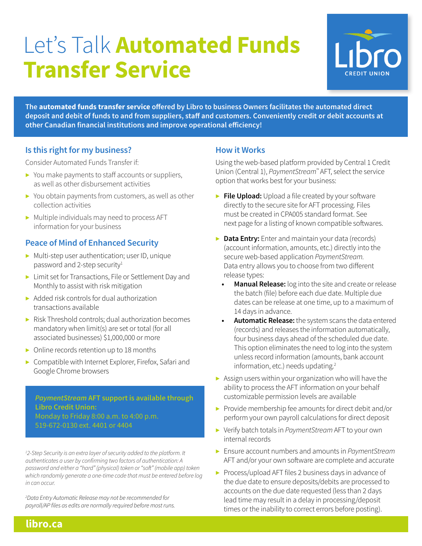# Let's Talk **Automated Funds Transfer Service**



**The automated funds transfer service offered by Libro to business Owners facilitates the automated direct deposit and debit of funds to and from suppliers, staff and customers. Conveniently credit or debit accounts at other Canadian financial institutions and improve operational efficiency!**

## **Is this right for my business?**

Consider Automated Funds Transfer if:

- ▶ You make payments to staff accounts or suppliers, as well as other disbursement activities
- ▶ You obtain payments from customers, as well as other collection activities
- $\triangleright$  Multiple individuals may need to process AFT information for your business

# **Peace of Mind of Enhanced Security**

- ▶ Multi-step user authentication; user ID, unique password and 2-step security<sup>1</sup>
- ▶ Limit set for Transactions, File or Settlement Day and Monthly to assist with risk mitigation
- $\triangleright$  Added risk controls for dual authorization transactions available
- ▶ Risk Threshold controls: dual authorization becomes mandatory when limit(s) are set or total (for all associated businesses) \$1,000,000 or more
- ▶ Online records retention up to 18 months
- ▶ Compatible with Internet Explorer, Firefox, Safari and Google Chrome browsers

*PaymentStream* **AFT support is available through Libro Credit Union:**  Monday to Friday 8:00 a.m. to 4:00 p.m. 519-672-0130 ext. 4401 or 4404

<sup>1</sup>2-Step Security is an extra layer of security added to the platform. It *authenticates a user by confirming two factors of authentication: A password and either a "hard" (physical) token or "soft" (mobile app) token which randomly generate a one-time code that must be entered before log in can occur.*

*2 Data Entry Automatic Release may not be recommended for payroll/AP files as edits are normally required before most runs.*

## **How it Works**

Using the web-based platform provided by Central 1 Credit Union (Central 1), *PaymentStream™* AFT, select the service option that works best for your business:

- ▶ **File Upload:** Upload a file created by your software directly to the secure site for AFT processing. Files must be created in CPA005 standard format. See next page for a listing of known compatible softwares.
- ▶ **Data Entry:** Enter and maintain your data (records) (account information, amounts, etc.) directly into the secure web-based application *PaymentStream.* Data entry allows you to choose from two different release types:
	- **• Manual Release:** log into the site and create or release the batch (file) before each due date. Multiple due dates can be release at one time, up to a maximum of 14 days in advance.
	- **• Automatic Release:** the system scans the data entered (records) and releases the information automatically, four business days ahead of the scheduled due date. This option eliminates the need to log into the system unless record information (amounts, bank account information, etc.) needs updating.<sup>2</sup>
- ▶ Assign users within your organization who will have the ability to process the AFT information on your behalf customizable permission levels are available
- ▶ Provide membership fee amounts for direct debit and/or perform your own payroll calculations for direct deposit
- ▶ Verify batch totals in *PaymentStream* AFT to your own internal records
- ▶ Ensure account numbers and amounts in *PaymentStream* AFT and/or your own software are complete and accurate
- ▶ Process/upload AFT files 2 business days in advance of the due date to ensure deposits/debits are processed to accounts on the due date requested (less than 2 days lead time may result in a delay in processing/deposit times or the inability to correct errors before posting).

**libro.ca**